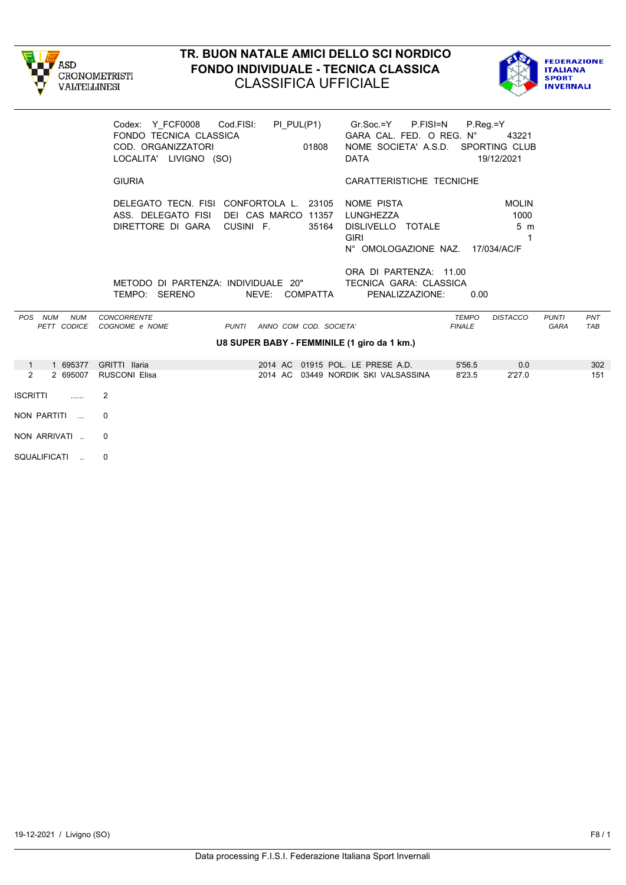



|                                             | Codex: Y FCF0008 Cod.FISI:<br>FONDO TECNICA CLASSICA<br>COD. ORGANIZZATORI<br>LOCALITA' LIVIGNO (SO)             | $PI_PUL(P1)$<br>01808                       | Gr.Soc.=Y P.FISI=N<br>GARA CAL. FED. O REG. N°<br>NOME SOCIETA' A.S.D. SPORTING CLUB<br><b>DATA</b> | $P_{\cdot}$ Reg $=$ Y         | 43221<br>19/12/2021                         |                             |            |
|---------------------------------------------|------------------------------------------------------------------------------------------------------------------|---------------------------------------------|-----------------------------------------------------------------------------------------------------|-------------------------------|---------------------------------------------|-----------------------------|------------|
|                                             | <b>GIURIA</b>                                                                                                    |                                             | CARATTERISTICHE TECNICHE                                                                            |                               |                                             |                             |            |
|                                             | DELEGATO TECN. FISI CONFORTOLA L. 23105<br>ASS. DELEGATO FISI DEI CAS MARCO 11357<br>DIRETTORE DI GARA CUSINI F. | 35164                                       | NOME PISTA<br>LUNGHEZZA<br>DISLIVELLO TOTALE<br><b>GIRI</b><br>N° OMOLOGAZIONE NAZ. 17/034/AC/F     |                               | <b>MOLIN</b><br>1000<br>5 <sub>m</sub><br>1 |                             |            |
|                                             | METODO DI PARTENZA: INDIVIDUALE 20"<br>TEMPO: SERENO                                                             | NEVE: COMPATTA                              | ORA DI PARTENZA: 11.00<br>TECNICA GARA: CLASSICA<br>PENALIZZAZIONE:                                 | 0.00                          |                                             |                             |            |
| POS NUM<br><b>NUM</b><br>PETT CODICE        | <b>CONCORRENTE</b><br>COGNOME e NOME                                                                             | PUNTI ANNO COM COD. SOCIETA'                |                                                                                                     | <b>TEMPO</b><br><b>FINALE</b> | <b>DISTACCO</b>                             | <b>PUNTI</b><br><b>GARA</b> | PNT<br>TAB |
|                                             |                                                                                                                  | U8 SUPER BABY - FEMMINILE (1 giro da 1 km.) |                                                                                                     |                               |                                             |                             |            |
| 1 695377<br>$\overline{1}$<br>2<br>2 695007 | GRITTI Ilaria<br><b>RUSCONI Elisa</b>                                                                            | 2014 AC 01915 POL. LE PRESE A.D.            | 2014 AC 03449 NORDIK SKI VALSASSINA                                                                 | 5'56.5<br>8'23.5              | 0.0<br>2'27.0                               |                             | 302<br>151 |
| <b>ISCRITTI</b><br>1.1.1.1                  | 2                                                                                                                |                                             |                                                                                                     |                               |                                             |                             |            |
| NON PARTITI                                 | $\Omega$                                                                                                         |                                             |                                                                                                     |                               |                                             |                             |            |
| NON ARRIVATI                                | $\Omega$                                                                                                         |                                             |                                                                                                     |                               |                                             |                             |            |

SQUALIFICATI .. 0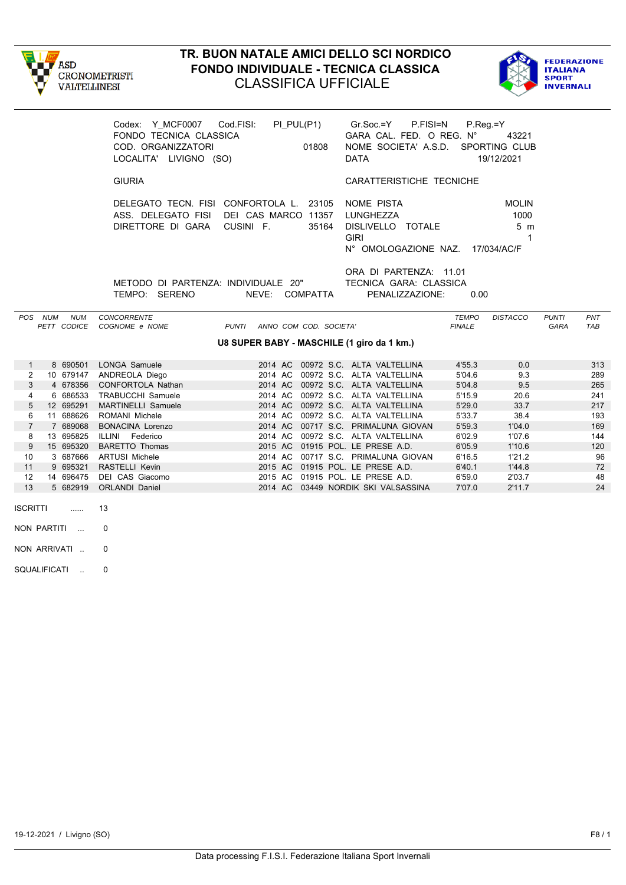



|                |         |                           | Codex: Y MCF0007 Cod.FISI:<br>FONDO TECNICA CLASSICA<br>COD. ORGANIZZATORI<br>LOCALITA' LIVIGNO (SO) | PI PUL(P1)<br>01808                        | Gr.Soc.=Y P.FISI=N<br>GARA CAL. FED. O REG. N°<br>NOME SOCIETA' A.S.D. SPORTING CLUB<br><b>DATA</b> | $P_{\cdot}$ Reg $=$ Y  | 43221<br>19/12/2021                                        |                             |                   |
|----------------|---------|---------------------------|------------------------------------------------------------------------------------------------------|--------------------------------------------|-----------------------------------------------------------------------------------------------------|------------------------|------------------------------------------------------------|-----------------------------|-------------------|
|                |         |                           | <b>GIURIA</b>                                                                                        |                                            | CARATTERISTICHE TECNICHE                                                                            |                        |                                                            |                             |                   |
|                |         |                           | DELEGATO TECN. FISI CONFORTOLA L. 23105<br>ASS. DELEGATO FISI<br>DIRETTORE DI GARA                   | DEI CAS MARCO 11357<br>CUSINI F.<br>35164  | NOME PISTA<br>LUNGHEZZA<br>DISLIVELLO TOTALE<br><b>GIRI</b><br>N° OMOLOGAZIONE NAZ.                 |                        | <b>MOLIN</b><br>1000<br>5 <sub>m</sub><br>1<br>17/034/AC/F |                             |                   |
|                |         |                           | METODO DI PARTENZA: INDIVIDUALE 20"<br>TEMPO: SERENO                                                 | NEVE: COMPATTA                             | ORA DI PARTENZA: 11.01<br><b>TECNICA GARA: CLASSICA</b><br>PENALIZZAZIONE:                          | 0.00                   |                                                            |                             |                   |
|                | POS NUM | <b>NUM</b><br>PETT CODICE | <b>CONCORRENTE</b><br>COGNOME e NOME                                                                 | PUNTI ANNO COM COD. SOCIETA'               |                                                                                                     | TEMPO<br><b>FINALE</b> | <b>DISTACCO</b>                                            | <b>PUNTI</b><br><b>GARA</b> | PNT<br><b>TAB</b> |
|                |         |                           |                                                                                                      | U8 SUPER BABY - MASCHILE (1 giro da 1 km.) |                                                                                                     |                        |                                                            |                             |                   |
| $\mathbf{1}$   |         |                           | 8 690501 LONGA Samuele                                                                               |                                            | 2014 AC 00972 S.C. ALTA VALTELLINA                                                                  | 4'55.3                 | 0.0                                                        |                             | 313               |
| 2              |         | 10 679147                 | ANDREOLA Diego                                                                                       | 2014 AC                                    | 00972 S.C. ALTA VALTELLINA                                                                          | 5'04.6                 | 9.3                                                        |                             | 289               |
| 3              |         | 4 678356                  | <b>CONFORTOLA Nathan</b>                                                                             | 2014 AC                                    | 00972 S.C. ALTA VALTELLINA                                                                          | 5'04.8                 | 9.5                                                        |                             | 265               |
| 4              |         | 6 686533                  | <b>TRABUCCHI Samuele</b>                                                                             | 2014 AC                                    | 00972 S.C. ALTA VALTELLINA                                                                          | 5'15.9                 | 20.6                                                       |                             | 241               |
| 5              |         | 12 695291                 | <b>MARTINELLI Samuele</b>                                                                            |                                            | 2014 AC 00972 S.C. ALTA VALTELLINA                                                                  | 5'29.0                 | 33.7                                                       |                             | 217               |
| 6              |         | 11 688626                 | ROMANI Michele                                                                                       | 2014 AC                                    | 00972 S.C. ALTA VALTELLINA                                                                          | 5'33.7                 | 38.4                                                       |                             | 193               |
| $\overline{7}$ |         | 7 689068                  | <b>BONACINA Lorenzo</b>                                                                              | 2014 AC                                    | 00717 S.C. PRIMALUNA GIOVAN                                                                         | 5'59.3                 | 1'04.0                                                     |                             | 169               |
| 8              |         | 13 695825                 | ILLINI Federico                                                                                      | 2014 AC                                    | 00972 S.C. ALTA VALTELLINA                                                                          | 6'02.9                 | 1'07.6                                                     |                             | 144               |
| 9              |         | 15 695320                 | <b>BARETTO Thomas</b>                                                                                | 2015 AC 01915 POL. LE PRESE A.D.           |                                                                                                     | 6'05.9                 | 1'10.6                                                     |                             | 120               |
| 10             |         | 3 687666                  | <b>ARTUSI Michele</b>                                                                                |                                            | 2014 AC 00717 S.C. PRIMALUNA GIOVAN                                                                 | 6'16.5                 | 1'21.2                                                     |                             | 96                |

11 9 695321 RASTELLI Kevin 2015 AC 01915 POL. LE PRESE A.D. 6'40.1 1'44.8 72<br>12 14 696475 DEI CAS Giacomo 2015 AC 01915 POL. LE PRESE A.D. 6'59.0 2'03.7 48 12 14 696475 DEI CAS Giacomo 2015 AC 01915 POL. LE PRESE A.D. 6'59.0 2'03.7 48

2014 AC 03449 NORDIK SKI VALSASSINA

- ISCRITTI ...... 13
- NON PARTITI ... 0
- NON ARRIVATI .. 0
- SQUALIFICATI .. 0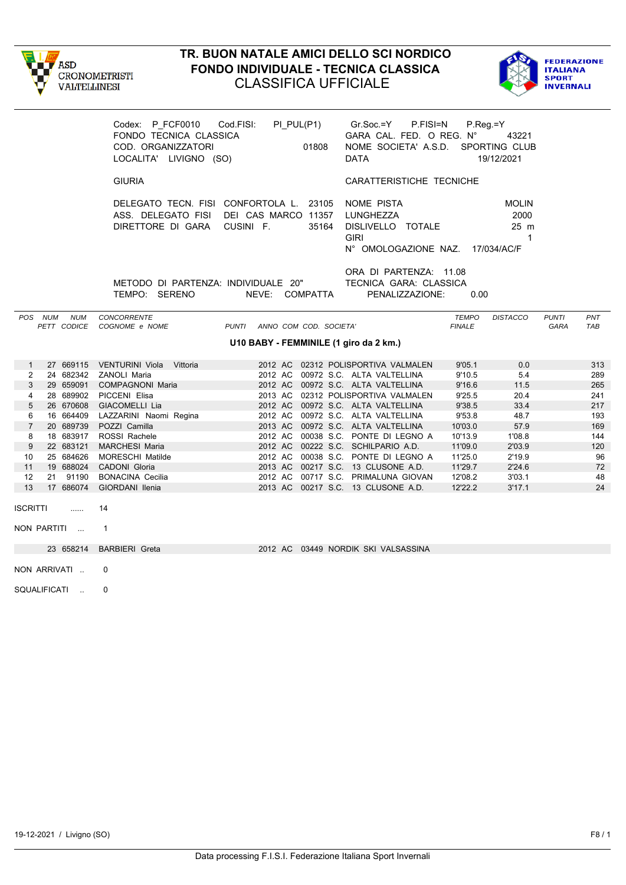



|                     |                        |            | Codex: P FCF0010 Cod.FISI:<br>FONDO TECNICA CLASSICA<br>COD. ORGANIZZATORI<br>LOCALITA' LIVIGNO (SO)             |                              | PI PUL(P1)<br>01808 | Gr.Soc.=Y<br>P.FISI=N<br>GARA CAL. FED. O REG. N°<br>NOME SOCIETA' A.S.D. SPORTING CLUB<br><b>DATA</b> | $P_{\cdot}$ Reg =Y            | 43221<br>19/12/2021                          |                      |            |
|---------------------|------------------------|------------|------------------------------------------------------------------------------------------------------------------|------------------------------|---------------------|--------------------------------------------------------------------------------------------------------|-------------------------------|----------------------------------------------|----------------------|------------|
|                     |                        |            | <b>GIURIA</b>                                                                                                    |                              |                     | CARATTERISTICHE TECNICHE                                                                               |                               |                                              |                      |            |
|                     |                        |            | DELEGATO TECN. FISI CONFORTOLA L. 23105<br>ASS. DELEGATO FISI DEI CAS MARCO 11357<br>DIRETTORE DI GARA CUSINI F. |                              | 35164               | NOME PISTA<br>LUNGHEZZA<br>DISLIVELLO TOTALE<br><b>GIRI</b><br>N° OMOLOGAZIONE NAZ. 17/034/AC/F        |                               | <b>MOLIN</b><br>2000<br>25 m<br>$\mathbf{1}$ |                      |            |
|                     |                        |            | METODO DI PARTENZA: INDIVIDUALE 20"<br>TEMPO: SERENO                                                             |                              | NEVE: COMPATTA      | ORA DI PARTENZA: 11.08<br>TECNICA GARA: CLASSICA<br>PENALIZZAZIONE:                                    | 0.00                          |                                              |                      |            |
|                     | POS NUM<br>PETT CODICE | <b>NUM</b> | <b>CONCORRENTE</b><br>COGNOME e NOME                                                                             | PUNTI ANNO COM COD. SOCIETA' |                     |                                                                                                        | <b>TEMPO</b><br><b>FINALE</b> | <b>DISTACCO</b>                              | <b>PUNTI</b><br>GARA | PNT<br>TAB |
|                     |                        |            |                                                                                                                  |                              |                     | U10 BABY - FEMMINILE (1 giro da 2 km.)                                                                 |                               |                                              |                      |            |
| $\mathbf{1}$        |                        |            | 27 669115 VENTURINI Viola Vittoria                                                                               |                              |                     | 2012 AC 02312 POLISPORTIVA VALMALEN                                                                    | 9'05.1                        | 0.0                                          |                      | 313        |
| $\overline{2}$      |                        |            | 24 682342 ZANOLI Maria                                                                                           |                              |                     | 2012 AC 00972 S.C. ALTA VALTELLINA                                                                     | 9'10.5                        | 5.4                                          |                      | 289        |
| 3                   |                        |            | 29 659091 COMPAGNONI Maria                                                                                       |                              |                     | 2012 AC 00972 S.C. ALTA VALTELLINA                                                                     | 9'16.6                        | 11.5                                         |                      | 265        |
| 4                   |                        |            | 28 689902 PICCENI Elisa                                                                                          |                              |                     | 2013 AC 02312 POLISPORTIVA VALMALEN                                                                    | 9'25.5                        | 20.4                                         |                      | 241        |
| $5\,$               | 26 670608              |            | GIACOMELLI Lia                                                                                                   |                              |                     | 2012 AC 00972 S.C. ALTA VALTELLINA                                                                     | 9'38.5                        | 33.4                                         |                      | 217        |
| 6                   |                        |            | 16 664409 LAZZARINI Naomi Regina                                                                                 |                              |                     | 2012 AC 00972 S.C. ALTA VALTELLINA                                                                     | 9'53.8                        | 48.7                                         |                      | 193        |
| $\overline{7}$<br>8 | 20 689739              |            | POZZI Camilla<br>18 683917 ROSSI Rachele                                                                         |                              |                     | 2013 AC 00972 S.C. ALTA VALTELLINA<br>2012 AC 00038 S.C. PONTE DI LEGNO A                              | 10'03.0                       | 57.9<br>1'08.8                               |                      | 169<br>144 |
| 9                   | 22 683121              |            | <b>MARCHESI Maria</b>                                                                                            |                              |                     | 2012 AC 00222 S.C. SCHILPARIO A.D.                                                                     | 10'13.9<br>11'09.0            | 2'03.9                                       |                      | 120        |
| 10                  | 25 684626              |            | <b>MORESCHI Matilde</b>                                                                                          |                              |                     | 2012 AC 00038 S.C. PONTE DI LEGNO A                                                                    | 11'25.0                       | 2'19.9                                       |                      | 96         |
| 11                  |                        |            | 19 688024 CADONI Gloria                                                                                          |                              |                     | 2013 AC 00217 S.C. 13 CLUSONE A.D.                                                                     | 11'29.7                       | 2'24.6                                       |                      | 72         |
| 12                  | 21 91190               |            | <b>BONACINA Cecilia</b>                                                                                          |                              |                     | 2012 AC 00717 S.C. PRIMALUNA GIOVAN                                                                    | 12'08.2                       | 3'03.1                                       |                      | 48         |
| 13                  | 17 686074              |            | GIORDANI Ilenia                                                                                                  |                              |                     | 2013 AC 00217 S.C. 13 CLUSONE A.D.                                                                     | 12'22.2                       | 3'17.1                                       |                      | 24         |
| <b>ISCRITTI</b>     |                        | 1.1.1.1    | 14                                                                                                               |                              |                     |                                                                                                        |                               |                                              |                      |            |
|                     | NON PARTITI            |            | $\overline{1}$                                                                                                   |                              |                     |                                                                                                        |                               |                                              |                      |            |
|                     | 23 658214              |            | <b>BARBIERI</b> Greta                                                                                            |                              |                     | 2012 AC 03449 NORDIK SKI VALSASSINA                                                                    |                               |                                              |                      |            |
|                     | NON ARRIVATI           |            | $\Omega$                                                                                                         |                              |                     |                                                                                                        |                               |                                              |                      |            |
|                     | SQUALIFICATI           |            | $\Omega$                                                                                                         |                              |                     |                                                                                                        |                               |                                              |                      |            |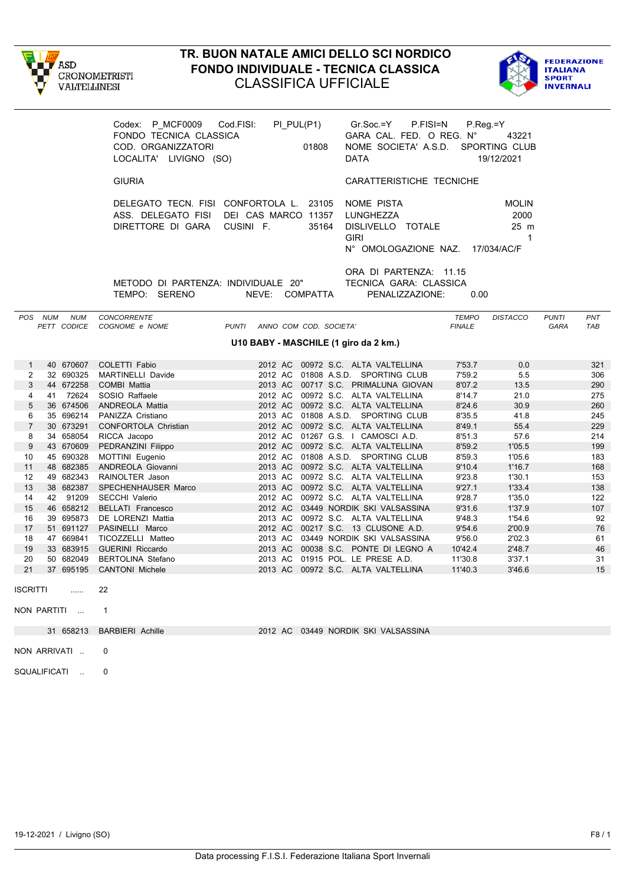



|                                |                                                                                                                                                                  | Codex: P_MCF0009 Cod.FISI:<br>FONDO TECNICA CLASSICA<br>COD. ORGANIZZATORI<br>LOCALITA' LIVIGNO (SO)             | PI_PUL(P1)                   | $Gr.Soc = Y$<br>01808<br><b>DATA</b>                                      | P.FISI=N<br>$P_{\cdot}$ Reg $=$ Y<br>GARA CAL. FED. O REG. N°<br>NOME SOCIETA' A.S.D. | 43221<br>SPORTING CLUB<br>19/12/2021                       |                      |            |  |
|--------------------------------|------------------------------------------------------------------------------------------------------------------------------------------------------------------|------------------------------------------------------------------------------------------------------------------|------------------------------|---------------------------------------------------------------------------|---------------------------------------------------------------------------------------|------------------------------------------------------------|----------------------|------------|--|
|                                |                                                                                                                                                                  | <b>GIURIA</b>                                                                                                    |                              |                                                                           | CARATTERISTICHE TECNICHE                                                              |                                                            |                      |            |  |
|                                |                                                                                                                                                                  | DELEGATO TECN. FISI CONFORTOLA L. 23105<br>ASS. DELEGATO FISI DEI CAS MARCO 11357<br>DIRETTORE DI GARA CUSINI F. |                              | NOME PISTA<br>LUNGHEZZA<br>35164<br><b>GIRI</b>                           | DISLIVELLO TOTALE<br>N° OMOLOGAZIONE NAZ.                                             | <b>MOLIN</b><br>2000<br>25 m<br>$\mathbf 1$<br>17/034/AC/F |                      |            |  |
|                                | ORA DI PARTENZA: 11.15<br>METODO DI PARTENZA: INDIVIDUALE 20"<br>TECNICA GARA: CLASSICA<br>TEMPO: SERENO<br>NEVE: COMPATTA<br>PENALIZZAZIONE:<br>0.00<br>POS NUM |                                                                                                                  |                              |                                                                           |                                                                                       |                                                            |                      |            |  |
|                                | <b>NUM</b><br>PETT CODICE                                                                                                                                        | <b>CONCORRENTE</b><br>COGNOME e NOME                                                                             | PUNTI ANNO COM COD. SOCIETA' |                                                                           | <b>TEMPO</b><br><b>FINALE</b>                                                         | <b>DISTACCO</b>                                            | <b>PUNTI</b><br>GARA | PNT<br>TAB |  |
|                                |                                                                                                                                                                  |                                                                                                                  |                              | U10 BABY - MASCHILE (1 giro da 2 km.)                                     |                                                                                       |                                                            |                      |            |  |
|                                |                                                                                                                                                                  |                                                                                                                  |                              |                                                                           |                                                                                       |                                                            |                      |            |  |
| $\mathbf{1}$<br>$\overline{2}$ | 40 670607<br>32 690325                                                                                                                                           | COLETTI Fabio<br><b>MARTINELLI Davide</b>                                                                        |                              | 2012 AC 00972 S.C. ALTA VALTELLINA<br>2012 AC 01808 A.S.D. SPORTING CLUB  | 7'53.7<br>7'59.2                                                                      | 0.0<br>5.5                                                 |                      | 321<br>306 |  |
| $\mathbf{3}$                   | 44 672258                                                                                                                                                        | <b>COMBI Mattia</b>                                                                                              |                              | 2013 AC 00717 S.C. PRIMALUNA GIOVAN                                       | 8'07.2                                                                                | 13.5                                                       |                      | 290        |  |
| 4                              | 41 72624                                                                                                                                                         | SOSIO Raffaele                                                                                                   |                              | 2012 AC 00972 S.C. ALTA VALTELLINA                                        | 8'14.7                                                                                | 21.0                                                       |                      | 275        |  |
| $5\,$                          | 36 674506                                                                                                                                                        | ANDREOLA Mattia                                                                                                  |                              | 2012 AC 00972 S.C. ALTA VALTELLINA                                        | 8'24.6                                                                                | 30.9                                                       |                      | 260        |  |
| 6                              | 35 696214                                                                                                                                                        | PANIZZA Cristiano                                                                                                |                              | 2013 AC 01808 A.S.D. SPORTING CLUB                                        | 8'35.5                                                                                | 41.8                                                       |                      | 245        |  |
| $\overline{7}$                 | 30 673291                                                                                                                                                        | CONFORTOLA Christian                                                                                             |                              | 2012 AC 00972 S.C. ALTA VALTELLINA                                        | 8'49.1                                                                                | 55.4                                                       |                      | 229        |  |
| 8                              | 34 658054                                                                                                                                                        | RICCA Jacopo                                                                                                     |                              | 2012 AC 01267 G.S. I CAMOSCI A.D.                                         | 8'51.3                                                                                | 57.6                                                       |                      | 214        |  |
| $9\,$                          | 43 670609                                                                                                                                                        | PEDRANZINI Filippo                                                                                               |                              | 2012 AC 00972 S.C. ALTA VALTELLINA                                        | 8'59.2                                                                                | 1'05.5                                                     |                      | 199        |  |
| 10                             | 45 690328                                                                                                                                                        | MOTTINI Eugenio                                                                                                  |                              | 2012 AC 01808 A.S.D. SPORTING CLUB                                        | 8'59.3                                                                                | 1'05.6                                                     |                      | 183        |  |
| 11                             | 48 682385                                                                                                                                                        | ANDREOLA Giovanni                                                                                                |                              | 2013 AC 00972 S.C. ALTA VALTELLINA                                        | 9'10.4                                                                                | 1'16.7                                                     |                      | 168        |  |
| 12                             | 49 682343                                                                                                                                                        | RAINOLTER Jason                                                                                                  |                              | 2013 AC 00972 S.C. ALTA VALTELLINA                                        | 9'23.8                                                                                | 1'30.1                                                     |                      | 153        |  |
| 13                             | 38 682387                                                                                                                                                        | SPECHENHAUSER Marco                                                                                              |                              | 2013 AC 00972 S.C. ALTA VALTELLINA                                        | 9'27.1                                                                                | 1'33.4                                                     |                      | 138        |  |
| 14                             | 42 91209                                                                                                                                                         | <b>SECCHI Valerio</b>                                                                                            |                              | 2012 AC 00972 S.C. ALTA VALTELLINA                                        | 9'28.7                                                                                | 1'35.0                                                     |                      | 122        |  |
| 15                             | 46 658212                                                                                                                                                        | <b>BELLATI Francesco</b>                                                                                         |                              | 2012 AC 03449 NORDIK SKI VALSASSINA                                       | 9'31.6                                                                                | 1'37.9                                                     |                      | 107        |  |
| 16                             | 39 695873                                                                                                                                                        | DE LORENZI Mattia                                                                                                |                              | 2013 AC 00972 S.C. ALTA VALTELLINA                                        | 9'48.3                                                                                | 1'54.6                                                     |                      | 92         |  |
| 17<br>18                       | 51 691127                                                                                                                                                        | PASINELLI Marco<br>47 669841 TICOZZELLI Matteo                                                                   |                              | 2012 AC 00217 S.C. 13 CLUSONE A.D.<br>2013 AC 03449 NORDIK SKI VALSASSINA | 9'54.6<br>9'56.0                                                                      | 2'00.9<br>2'02.3                                           |                      | 76<br>61   |  |
| 19                             |                                                                                                                                                                  | 33 683915 GUERINI Riccardo                                                                                       |                              | 2013 AC 00038 S.C. PONTE DI LEGNO A                                       | 10'42.4                                                                               | 2'48.7                                                     |                      | 46         |  |
| 20                             | 50 682049                                                                                                                                                        | <b>BERTOLINA Stefano</b>                                                                                         |                              | 2013 AC 01915 POL. LE PRESE A.D.                                          | 11'30.8                                                                               | 3'37.1                                                     |                      | 31         |  |
| 21                             |                                                                                                                                                                  | 37 695195 CANTONI Michele                                                                                        |                              | 2013 AC 00972 S.C. ALTA VALTELLINA                                        | 11'40.3                                                                               | 3'46.6                                                     |                      | 15         |  |
| <b>ISCRITTI</b>                |                                                                                                                                                                  | $\sim$                                                                                                           |                              |                                                                           |                                                                                       |                                                            |                      |            |  |
|                                | NON PARTITI  1                                                                                                                                                   |                                                                                                                  |                              |                                                                           |                                                                                       |                                                            |                      |            |  |
|                                |                                                                                                                                                                  | 31 658213 BARBIERI Achille                                                                                       |                              | 2012 AC 03449 NORDIK SKI VALSASSINA                                       |                                                                                       |                                                            |                      |            |  |
|                                | NON ARRIVATI                                                                                                                                                     | 0                                                                                                                |                              |                                                                           |                                                                                       |                                                            |                      |            |  |
|                                | SQUALIFICATI                                                                                                                                                     | 0                                                                                                                |                              |                                                                           |                                                                                       |                                                            |                      |            |  |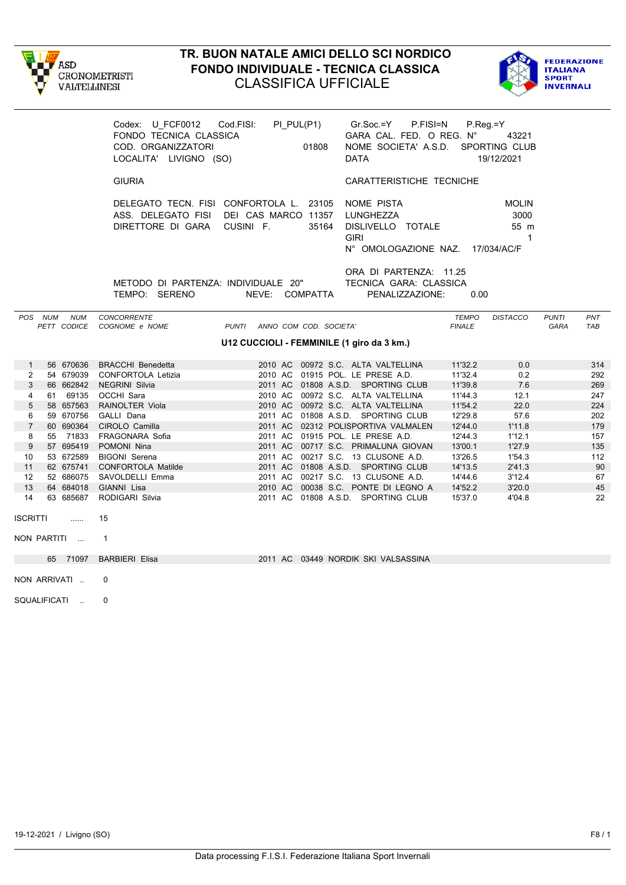



|                 |                        | FONDO TECNICA CLASSICA<br>COD. ORGANIZZATORI<br>LOCALITA' LIVIGNO (SO) | Codex: U_FCF0012    Cod.FISI:    PI_PUL(P1)    Gr.Soc.=Y    P.FISI=N<br>01808<br>01808                          | GARA CAL. FED. O REG. N° 43221<br>NOME SOCIETA' A.S.D. SPORTING CLUB<br>DATA              | P.Reg.=Y<br>19/12/2021                           |                      |            |
|-----------------|------------------------|------------------------------------------------------------------------|-----------------------------------------------------------------------------------------------------------------|-------------------------------------------------------------------------------------------|--------------------------------------------------|----------------------|------------|
|                 |                        | <b>GIURIA</b>                                                          |                                                                                                                 | CARATTERISTICHE TECNICHE                                                                  |                                                  |                      |            |
|                 |                        | DIRETTORE DI GARA CUSINI F.                                            | DELEGATO TECN. FISI CONFORTOLA L. 23105 NOME PISTA<br>ASS. DELEGATO FISI DEI CAS MARCO 11357 LUNGHEZZA<br>35164 | DISLIVELLO TOTALE<br><b>GIRI</b><br>N° OMOLOGAZIONE NAZ. 17/034/AC/F                      | <b>MOLIN</b><br>3000<br>55 m<br>$\overline{1}$   |                      |            |
|                 |                        | TEMPO: SERENO                                                          | METODO DI PARTENZA: INDIVIDUALE 20" TECNICA GARA: CLASSICA<br>NEVE: COMPATTA                                    | ORA DI PARTENZA: 11.25<br>PENALIZZAZIONE:                                                 | 0.00                                             |                      |            |
|                 | POS NUM<br><b>NUM</b>  | <b>CONCORRENTE</b><br>PETT CODICE COGNOME e NOME                       | PUNTI ANNO COM COD. SOCIETA'                                                                                    |                                                                                           | <b>TEMPO</b><br><b>DISTACCO</b><br><b>FINALE</b> | <b>PUNTI</b><br>GARA | PNT<br>TAB |
|                 |                        |                                                                        | U12 CUCCIOLI - FEMMINILE (1 giro da 3 km.)                                                                      |                                                                                           |                                                  |                      |            |
| $\mathbf{1}$    |                        | 56 670636 BRACCHI Benedetta                                            |                                                                                                                 | 2010 AC 00972 S.C. ALTA VALTELLINA                                                        | 11'32.2<br>0.0                                   |                      | 314        |
| $\mathbf{2}$    |                        | 54 679039 CONFORTOLA Letizia                                           | 2010 AC 01915 POL. LE PRESE A.D.                                                                                |                                                                                           | 11'32.4<br>0.2                                   |                      | 292        |
| 3               | 66 662842              | NEGRINI Silvia                                                         |                                                                                                                 | 2011 AC 01808 A.S.D. SPORTING CLUB                                                        | 11'39.8<br>7.6                                   |                      | 269        |
| $\overline{4}$  |                        | 61 69135 OCCHI Sara                                                    |                                                                                                                 | 2010 AC 00972 S.C. ALTA VALTELLINA                                                        | 12.1<br>11'44.3                                  |                      | 247        |
| $\overline{5}$  | 58 657563              | RAINOLTER Viola                                                        |                                                                                                                 | 2010 AC 00972 S.C. ALTA VALTELLINA                                                        | 22.0<br>11'54.2                                  |                      | 224        |
| 6               |                        | 59 670756  GALLI Dana                                                  |                                                                                                                 | 2011 AC 01808 A.S.D. SPORTING CLUB                                                        | 12'29.8<br>57.6                                  |                      | 202        |
| $7^{\circ}$     | 60 690364              | CIROLO Camilla                                                         |                                                                                                                 | 2011 AC 02312 POLISPORTIVA VALMALEN                                                       | 12'44.0<br>1'11.8                                |                      | 179        |
| 8               | 55 71833               | FRAGONARA Sofia                                                        | 2011 AC 01915 POL. LE PRESE A.D.                                                                                |                                                                                           | 12'44.3<br>1'12.1                                |                      | 157        |
| 9               | 57 695419              | POMONI Nina                                                            |                                                                                                                 | 2011 AC 00717 S.C. PRIMALUNA GIOVAN 13'00.1                                               | 1'27.9                                           |                      | 135        |
| 10              | 53 672589              | <b>BIGONI Serena</b>                                                   |                                                                                                                 | 2011 AC 00217 S.C. 13 CLUSONE A.D.                                                        | 13'26.5<br>1'54.3                                |                      | 112        |
| 11              | 62 675741              | <b>CONFORTOLA Matilde</b>                                              |                                                                                                                 | 2011 AC 01808 A.S.D. SPORTING CLUB                                                        | 14'13.5<br>2'41.3                                |                      | 90         |
| 12<br>13        | 52 686075<br>64 684018 | SAVOLDELLI Emma<br>GIANNI Lisa                                         |                                                                                                                 | 2011 AC 00217 S.C. 13 CLUSONE A.D. 14'44.6<br>2010 AC 00038 S.C. PONTE DI LEGNO A 14'52.2 | 3'12.4<br>3'20.0                                 |                      | 67<br>45   |
| 14              | 63 685687              | RODIGARI Silvia                                                        |                                                                                                                 | 2011 AC 01808 A.S.D. SPORTING CLUB                                                        | 15'37.0<br>4'04.8                                |                      | 22         |
| <b>ISCRITTI</b> |                        | 15                                                                     |                                                                                                                 |                                                                                           |                                                  |                      |            |
|                 | NON PARTITI            | $\overline{1}$                                                         |                                                                                                                 |                                                                                           |                                                  |                      |            |
|                 | 65 71097               | <b>BARBIERI Elisa</b>                                                  | 2011 AC 03449 NORDIK SKI VALSASSINA                                                                             |                                                                                           |                                                  |                      |            |
|                 | NON ARRIVATI           | $\Omega$                                                               |                                                                                                                 |                                                                                           |                                                  |                      |            |
|                 | SQUALIFICATI           | 0                                                                      |                                                                                                                 |                                                                                           |                                                  |                      |            |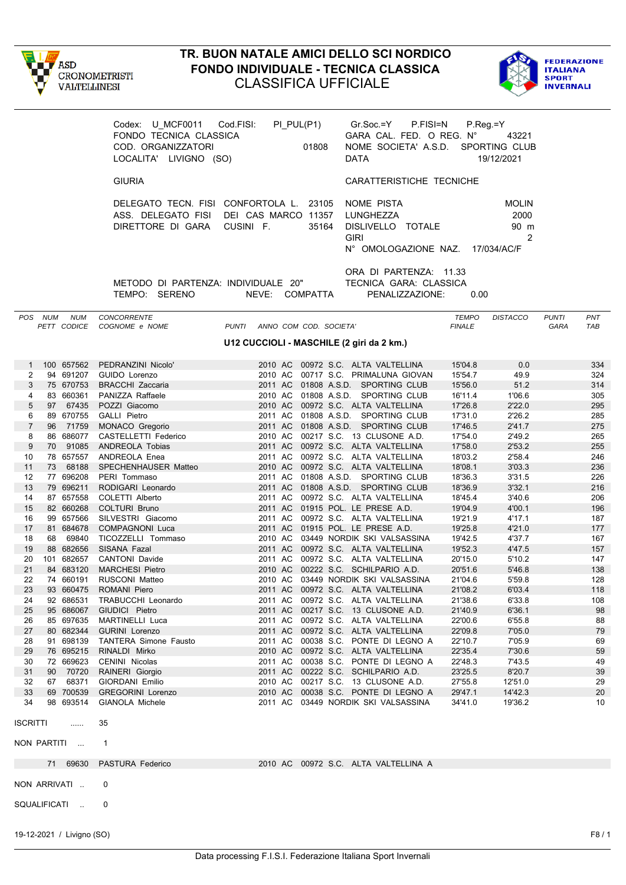



|                 |         |                           | Codex: U MCF0011 Cod.FISI:<br>FONDO TECNICA CLASSICA<br>COD. ORGANIZZATORI<br>LOCALITA' LIVIGNO (SO)             |                                           | PI_PUL(P1)<br>01808 | Gr.Soc.=Y<br>P.FISI=N<br>GARA CAL. FED. O REG. N°<br>NOME SOCIETA' A.S.D. SPORTING CLUB<br>DATA | $P_{\cdot}$ Reg $=$ Y         | 43221<br>19/12/2021               |                      |            |
|-----------------|---------|---------------------------|------------------------------------------------------------------------------------------------------------------|-------------------------------------------|---------------------|-------------------------------------------------------------------------------------------------|-------------------------------|-----------------------------------|----------------------|------------|
|                 |         |                           | <b>GIURIA</b>                                                                                                    |                                           |                     | CARATTERISTICHE TECNICHE                                                                        |                               |                                   |                      |            |
|                 |         |                           | DELEGATO TECN. FISI CONFORTOLA L. 23105<br>ASS. DELEGATO FISI DEI CAS MARCO 11357<br>DIRETTORE DI GARA CUSINI F. |                                           | 35164               | NOME PISTA<br>LUNGHEZZA<br>DISLIVELLO TOTALE<br><b>GIRI</b><br>N° OMOLOGAZIONE NAZ. 17/034/AC/F |                               | <b>MOLIN</b><br>2000<br>90 m<br>2 |                      |            |
|                 |         |                           | METODO DI PARTENZA: INDIVIDUALE 20"<br>TEMPO: SERENO                                                             | NEVE: COMPATTA                            |                     | ORA DI PARTENZA: 11.33<br>TECNICA GARA: CLASSICA<br>PENALIZZAZIONE:                             | 0.00                          |                                   |                      |            |
|                 | POS NUM | NUM<br>PETT CODICE        | CONCORRENTE<br>COGNOME e NOME                                                                                    | PUNTI ANNO COM COD. SOCIETA'              |                     |                                                                                                 | <b>TEMPO</b><br><b>FINALE</b> | <b>DISTACCO</b>                   | <b>PUNTI</b><br>GARA | PNT<br>TAB |
|                 |         |                           |                                                                                                                  | U12 CUCCIOLI - MASCHILE (2 giri da 2 km.) |                     |                                                                                                 |                               |                                   |                      |            |
|                 |         |                           |                                                                                                                  |                                           |                     |                                                                                                 |                               |                                   |                      |            |
| 1               |         | 100 657562                | PEDRANZINI Nicolo'                                                                                               |                                           |                     | 2010 AC 00972 S.C. ALTA VALTELLINA                                                              | 15'04.8                       | 0.0                               |                      | 334        |
| 2               |         | 94 691207                 | GUIDO Lorenzo                                                                                                    |                                           |                     | 2010 AC 00717 S.C. PRIMALUNA GIOVAN                                                             | 15'54.7                       | 49.9                              |                      | 324        |
| 3<br>4          |         | 75 670753<br>83 660361    | <b>BRACCHI Zaccaria</b><br>PANIZZA Raffaele                                                                      |                                           |                     | 2011 AC 01808 A.S.D. SPORTING CLUB<br>2010 AC 01808 A.S.D. SPORTING CLUB                        | 15'56.0<br>16'11.4            | 51.2<br>1'06.6                    |                      | 314<br>305 |
| $5\,$           |         | 97 67435                  | POZZI Giacomo                                                                                                    |                                           |                     | 2010 AC 00972 S.C. ALTA VALTELLINA                                                              | 17'26.8                       | 2'22.0                            |                      | 295        |
| 6               |         | 89 670755                 | <b>GALLI</b> Pietro                                                                                              |                                           |                     | 2011 AC 01808 A.S.D. SPORTING CLUB                                                              | 17'31.0                       | 2'26.2                            |                      | 285        |
| $\overline{7}$  |         | 96 71759                  | MONACO Gregorio                                                                                                  |                                           |                     | 2011 AC 01808 A.S.D. SPORTING CLUB                                                              | 17'46.5                       | 2'41.7                            |                      | 275        |
| 8               |         | 86 686077                 | CASTELLETTI Federico                                                                                             |                                           |                     | 2010 AC 00217 S.C. 13 CLUSONE A.D.                                                              | 17'54.0                       | 2'49.2                            |                      | 265        |
| $9\,$           |         | 70 91085                  | ANDREOLA Tobias                                                                                                  |                                           |                     | 2011 AC 00972 S.C. ALTA VALTELLINA                                                              | 17'58.0                       | 2'53.2                            |                      | 255        |
| 10<br>11        |         | 78 657557<br>73 68188     | ANDREOLA Enea                                                                                                    |                                           |                     | 2011 AC 00972 S.C. ALTA VALTELLINA<br>2010 AC 00972 S.C. ALTA VALTELLINA                        | 18'03.2<br>18'08.1            | 2'58.4<br>3'03.3                  |                      | 246<br>236 |
| 12              |         | 77 696208                 | SPECHENHAUSER Matteo<br>PERI Tommaso                                                                             |                                           |                     | 2011 AC 01808 A.S.D. SPORTING CLUB                                                              | 18'36.3                       | 3'31.5                            |                      | 226        |
| 13              |         | 79 696211                 | RODIGARI Leonardo                                                                                                |                                           |                     | 2011 AC 01808 A.S.D. SPORTING CLUB                                                              | 18'36.9                       | 3'32.1                            |                      | 216        |
| 14              |         | 87 657558                 | COLETTI Alberto                                                                                                  |                                           |                     | 2011 AC 00972 S.C. ALTA VALTELLINA                                                              | 18'45.4                       | 3'40.6                            |                      | 206        |
| 15              |         | 82 660268                 | <b>COLTURI Bruno</b>                                                                                             |                                           |                     | 2011 AC 01915 POL. LE PRESE A.D.                                                                | 19'04.9                       | 4'00.1                            |                      | 196        |
| 16              |         | 99 657566                 | SILVESTRI Giacomo                                                                                                |                                           |                     | 2011 AC 00972 S.C. ALTA VALTELLINA                                                              | 19'21.9                       | 4'17.1                            |                      | 187        |
| 17              |         | 81 684678                 | <b>COMPAGNONI Luca</b>                                                                                           |                                           |                     | 2011 AC 01915 POL. LE PRESE A.D.                                                                | 19'25.8                       | 4'21.0                            |                      | 177        |
| 18              |         | 68 69840<br>88 682656     | TICOZZELLI Tommaso                                                                                               |                                           |                     | 2010 AC 03449 NORDIK SKI VALSASSINA<br>2011 AC 00972 S.C. ALTA VALTELLINA                       | 19'42.5<br>19'52.3            | 4'37.7<br>4'47.5                  |                      | 167        |
| 19<br>20        |         | 101 682657                | SISANA Fazal<br><b>CANTONI Davide</b>                                                                            |                                           |                     | 2011 AC 00972 S.C. ALTA VALTELLINA                                                              | 20'15.0                       | 5'10.2                            |                      | 157<br>147 |
| 21              |         | 84 683120                 | <b>MARCHESI Pietro</b>                                                                                           |                                           |                     | 2010 AC 00222 S.C. SCHILPARIO A.D.                                                              | 20'51.6                       | 5'46.8                            |                      | 138        |
| 22              |         | 74 660191                 | RUSCONI Matteo                                                                                                   |                                           |                     | 2010 AC 03449 NORDIK SKI VALSASSINA                                                             | 21'04.6                       | 5'59.8                            |                      | 128        |
| 23              |         | 93 660475                 | ROMANI Piero                                                                                                     | 2011 AC                                   |                     | 00972 S.C. ALTA VALTELLINA                                                                      | 21'08.2                       | 6'03.4                            |                      | 118        |
| 24              |         | 92 686531                 | TRABUCCHI Leonardo                                                                                               | 2011 AC                                   |                     | 00972 S.C. ALTA VALTELLINA                                                                      | 21'38.6                       | 6'33.8                            |                      | 108        |
| 25              |         | 95 686067                 | GIUDICI Pietro                                                                                                   | 2011 AC                                   |                     | 00217 S.C. 13 CLUSONE A.D.                                                                      | 21'40.9                       | 6'36.1                            |                      | 98         |
| 26<br>27        |         | 85 697635<br>80 682344    | MARTINELLI Luca<br><b>GURINI Lorenzo</b>                                                                         | 2011 AC                                   |                     | 2011 AC 00972 S.C. ALTA VALTELLINA<br>00972 S.C. ALTA VALTELLINA                                | 22'00.6<br>22'09.8            | 6'55.8<br>7'05.0                  |                      | 88<br>79   |
| 28              |         | 91 698139                 | <b>TANTERA Simone Fausto</b>                                                                                     |                                           |                     | 2011 AC 00038 S.C. PONTE DI LEGNO A                                                             | 22'10.7                       | 7'05.9                            |                      | 69         |
| 29              |         | 76 695215                 | RINALDI Mirko                                                                                                    |                                           |                     | 2010 AC 00972 S.C. ALTA VALTELLINA                                                              | 22'35.4                       | 7'30.6                            |                      | 59         |
| 30              |         | 72 669623                 | CENINI Nicolas                                                                                                   |                                           |                     | 2011 AC 00038 S.C. PONTE DI LEGNO A                                                             | 22'48.3                       | 7'43.5                            |                      | 49         |
| 31              | 90      | 70720                     | RAINERI Giorgio                                                                                                  | 2011 AC                                   |                     | 00222 S.C. SCHILPARIO A.D.                                                                      | 23'25.5                       | 8'20.7                            |                      | 39         |
| 32              | 67      | 68371                     | GIORDANI Emilio                                                                                                  |                                           |                     | 2010 AC 00217 S.C. 13 CLUSONE A.D.                                                              | 27'55.8                       | 12'51.0                           |                      | 29         |
| 33<br>34        |         | 69 700539                 | <b>GREGORINI Lorenzo</b>                                                                                         | 2010 AC                                   |                     | 00038 S.C. PONTE DI LEGNO A                                                                     | 29'47.1                       | 14'42.3                           |                      | 20         |
|                 |         | 98 693514                 | GIANOLA Michele                                                                                                  |                                           |                     | 2011 AC 03449 NORDIK SKI VALSASSINA                                                             | 34'41.0                       | 19'36.2                           |                      | 10         |
| <b>ISCRITTI</b> |         | .                         | 35                                                                                                               |                                           |                     |                                                                                                 |                               |                                   |                      |            |
| NON PARTITI     |         |                           | $\overline{1}$                                                                                                   |                                           |                     |                                                                                                 |                               |                                   |                      |            |
|                 |         | 71 69630                  | PASTURA Federico                                                                                                 |                                           |                     | 2010 AC 00972 S.C. ALTA VALTELLINA A                                                            |                               |                                   |                      |            |
| NON ARRIVATI    |         |                           | 0                                                                                                                |                                           |                     |                                                                                                 |                               |                                   |                      |            |
| SQUALIFICATI    |         | $\sim$ .                  | 0                                                                                                                |                                           |                     |                                                                                                 |                               |                                   |                      |            |
|                 |         | 19-12-2021 / Livigno (SO) |                                                                                                                  |                                           |                     |                                                                                                 |                               |                                   |                      | F8/1       |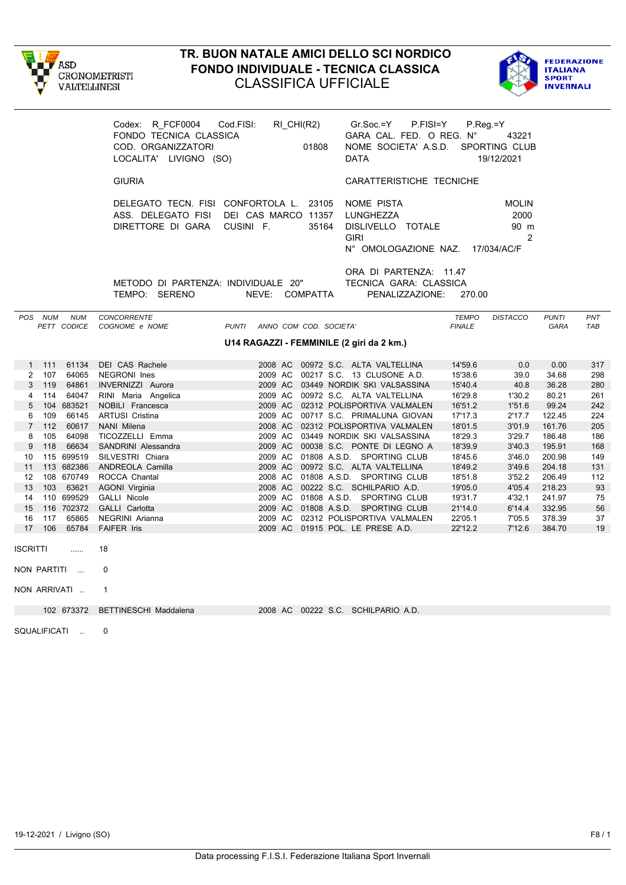



|                                      | Codex: R FCF0004<br>FONDO TECNICA CLASSICA<br>COD. ORGANIZZATORI<br>LOCALITA' LIVIGNO (SO) | Cod.FISI:<br>RI CHI(R2)<br>01808                                                                        | $Gr.Soc = Y$<br>P.FISI=Y<br>GARA CAL. FED. O REG. N°<br>NOME SOCIETA' A.S.D.<br><b>DATA</b> | $P_{\cdot}$ Reg $=$ Y<br>43221<br><b>SPORTING CLUB</b><br>19/12/2021 |                      |            |
|--------------------------------------|--------------------------------------------------------------------------------------------|---------------------------------------------------------------------------------------------------------|---------------------------------------------------------------------------------------------|----------------------------------------------------------------------|----------------------|------------|
|                                      | <b>GIURIA</b>                                                                              |                                                                                                         | CARATTERISTICHE TECNICHE                                                                    |                                                                      |                      |            |
|                                      | DIRETTORE DI GARA                                                                          | DELEGATO TECN. FISI CONFORTOLA L. 23105<br>ASS. DELEGATO FISI DEI CAS MARCO 11357<br>CUSINI F.<br>35164 | NOME PISTA<br>LUNGHEZZA<br>DISLIVELLO TOTALE<br><b>GIRI</b><br>N° OMOLOGAZIONE NAZ.         | <b>MOLIN</b><br>2000<br>90 m<br>17/034/AC/F                          | 2                    |            |
|                                      | METODO DI PARTENZA: INDIVIDUALE 20"<br>TEMPO: SERENO                                       | NEVE: COMPATTA                                                                                          | ORA DI PARTENZA: 11.47<br>TECNICA GARA: CLASSICA<br>PENALIZZAZIONE:                         | 270.00                                                               |                      |            |
| POS NUM<br><b>NUM</b><br>PETT CODICE | CONCORRENTE<br>COGNOME e NOME                                                              | <b>PUNTI</b><br>ANNO COM COD. SOCIETA'                                                                  |                                                                                             | <b>TEMPO</b><br><b>DISTACCO</b><br><b>FINALE</b>                     | <b>PUNTI</b><br>GARA | PNT<br>TAB |
|                                      |                                                                                            | U14 RAGAZZI - FEMMINILE (2 giri da 2 km.)                                                               |                                                                                             |                                                                      |                      |            |
| 61134<br>$1 \t111$                   | DEI CAS Rachele                                                                            |                                                                                                         | 2008 AC 00972 S.C. ALTA VALTELLINA                                                          | 14'59.6<br>0.0                                                       | 0.00                 | 317        |
| $\overline{2}$<br>107<br>64065       | NEGRONI Ines                                                                               |                                                                                                         | 2009 AC 00217 S.C. 13 CLUSONE A.D.                                                          | 15'38.6<br>39.0                                                      | 34.68                | 298        |
| 3 <sup>1</sup><br>119<br>64861       | INVERNIZZI Aurora                                                                          |                                                                                                         | 2009 AC 03449 NORDIK SKI VALSASSINA                                                         | 15'40.4<br>40.8                                                      | 36.28                | 280        |
| 114<br>64047<br>4                    | RINI Maria Angelica                                                                        |                                                                                                         | 2009 AC 00972 S.C. ALTA VALTELLINA                                                          | 16'29.8<br>1'30.2                                                    | 80.21                | 261        |
| 5<br>104 683521                      | NOBILI Francesca                                                                           |                                                                                                         | 2009 AC 02312 POLISPORTIVA VALMALEN                                                         | 16'51.2<br>1'51.6                                                    | 99.24                | 242        |
| 109<br>66145<br>6<br>7 112<br>60617  | <b>ARTUSI Cristina</b><br>NANI Milena                                                      |                                                                                                         | 2009 AC 00717 S.C. PRIMALUNA GIOVAN<br>2008 AC 02312 POLISPORTIVA VALMALEN                  | 17'17.3<br>2'17.7<br>18'01.5<br>3'01.9                               | 122.45<br>161.76     | 224<br>205 |
| 105<br>64098<br>8                    | TICOZZELLI Emma                                                                            |                                                                                                         | 2009 AC 03449 NORDIK SKI VALSASSINA                                                         | 3'29.7<br>18'29.3                                                    | 186.48               | 186        |
| 118<br>66634<br>9                    | SANDRINI Alessandra                                                                        |                                                                                                         | 2009 AC 00038 S.C. PONTE DI LEGNO A                                                         | 18'39.9<br>3'40.3                                                    | 195.91               | 168        |
| 115 699519<br>10                     | SILVESTRI Chiara                                                                           |                                                                                                         | 2009 AC 01808 A.S.D. SPORTING CLUB                                                          | 18'45.6<br>3'46.0                                                    | 200.98               | 149        |
| 113 682386<br>11                     | ANDREOLA Camilla                                                                           |                                                                                                         | 2009 AC 00972 S.C. ALTA VALTELLINA                                                          | 3'49.6<br>18'49.2                                                    | 204.18               | 131        |
| 108 670749<br>12                     | ROCCA Chantal                                                                              |                                                                                                         | 2008 AC 01808 A.S.D. SPORTING CLUB                                                          | 18'51.8<br>3'52.2                                                    | 206.49               | 112        |
| 103 63621<br>13                      | <b>AGONI Virginia</b>                                                                      |                                                                                                         | 2008 AC 00222 S.C. SCHILPARIO A.D.                                                          | 19'05.0<br>4'05.4                                                    | 218.23               | 93         |
| 110 699529<br>14                     | GALLI Nicole                                                                               |                                                                                                         | 2009 AC 01808 A.S.D. SPORTING CLUB                                                          | 19'31.7<br>4'32.1                                                    | 241.97               | 75         |
| 15<br>116 702372                     | GALLI Carlotta                                                                             |                                                                                                         | 2009 AC 01808 A.S.D. SPORTING CLUB                                                          | 21'14.0<br>6'14.4                                                    | 332.95               | 56         |
| 117<br>65865<br>16                   | NEGRINI Arianna                                                                            | 2009 AC                                                                                                 | 02312 POLISPORTIVA VALMALEN                                                                 | 22'05.1<br>7'05.5                                                    | 378.39               | 37         |
| 17<br>106<br>65784                   | <b>FAIFER Iris</b>                                                                         | 2009 AC 01915 POL. LE PRESE A.D.                                                                        |                                                                                             | 22'12.2<br>7'12.6                                                    | 384.70               | 19         |
| <b>ISCRITTI</b><br>.                 | 18                                                                                         |                                                                                                         |                                                                                             |                                                                      |                      |            |
| NON PARTITI                          | 0                                                                                          |                                                                                                         |                                                                                             |                                                                      |                      |            |
| NON ARRIVATI                         | $\mathbf{1}$                                                                               |                                                                                                         |                                                                                             |                                                                      |                      |            |
| 102 673372                           | <b>BETTINESCHI Maddalena</b>                                                               | 2008 AC 00222 S.C. SCHILPARIO A.D.                                                                      |                                                                                             |                                                                      |                      |            |

SQUALIFICATI .. 0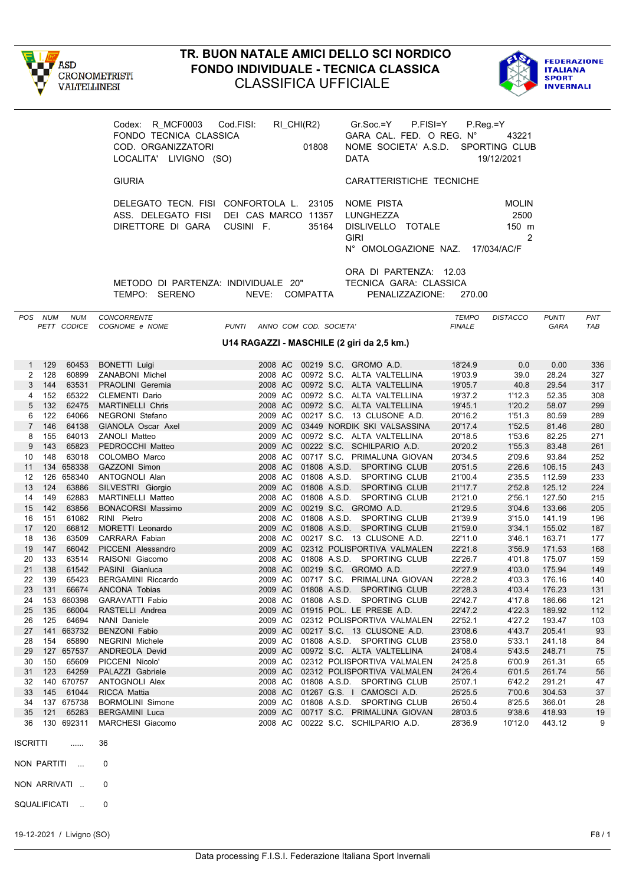



|                 |              |                           | Codex: R MCF0003 Cod FISI:<br>FONDO TECNICA CLASSICA<br>COD. ORGANIZZATORI<br>LOCALITA' LIVIGNO (SO) | RI_CHI(R2)<br>01808                                                                                     | Gr.Soc.=Y P.FISI=Y<br>GARA CAL. FED. O REG. N°<br>NOME SOCIETA' A.S.D.<br><b>DATA</b>           | $P_{\cdot}$ Reg = Y           | 43221<br>SPORTING CLUB<br>19/12/2021 |                      |            |
|-----------------|--------------|---------------------------|------------------------------------------------------------------------------------------------------|---------------------------------------------------------------------------------------------------------|-------------------------------------------------------------------------------------------------|-------------------------------|--------------------------------------|----------------------|------------|
|                 |              |                           | <b>GIURIA</b>                                                                                        |                                                                                                         | CARATTERISTICHE TECNICHE                                                                        |                               |                                      |                      |            |
|                 |              |                           | DIRETTORE DI GARA                                                                                    | DELEGATO TECN. FISI CONFORTOLA L. 23105<br>ASS. DELEGATO FISI DEI CAS MARCO 11357<br>CUSINI F.<br>35164 | NOME PISTA<br>LUNGHEZZA<br>DISLIVELLO TOTALE<br><b>GIRI</b><br>N° OMOLOGAZIONE NAZ. 17/034/AC/F |                               | <b>MOLIN</b><br>2500<br>150 m<br>2   |                      |            |
|                 |              |                           | TEMPO: SERENO                                                                                        | METODO DI PARTENZA: INDIVIDUALE 20"<br>NEVE: COMPATTA                                                   | ORA DI PARTENZA: 12.03<br>TECNICA GARA: CLASSICA<br>PENALIZZAZIONE:                             | 270.00                        |                                      |                      |            |
|                 | POS NUM      | <b>NUM</b><br>PETT CODICE | <b>CONCORRENTE</b><br>COGNOME e NOME                                                                 | PUNTI ANNO COM COD. SOCIETA'                                                                            |                                                                                                 | <b>TEMPO</b><br><b>FINALE</b> | <b>DISTACCO</b>                      | <b>PUNTI</b><br>GARA | PNT<br>TAB |
|                 |              |                           |                                                                                                      | U14 RAGAZZI - MASCHILE (2 giri da 2,5 km.)                                                              |                                                                                                 |                               |                                      |                      |            |
|                 | 1 129        | 60453                     | <b>BONETTI Luigi</b>                                                                                 |                                                                                                         | 2008 AC 00219 S.C. GROMO A.D.                                                                   | 18'24.9                       | 0.0                                  | 0.00                 | 336        |
| $\mathbf{2}$    | 128          | 60899                     | <b>ZANABONI Michel</b>                                                                               |                                                                                                         | 2008 AC 00972 S.C. ALTA VALTELLINA                                                              | 19'03.9                       | 39.0                                 | 28.24                | 327        |
| 3               | 144          | 63531                     | PRAOLINI Geremia                                                                                     |                                                                                                         | 2008 AC 00972 S.C. ALTA VALTELLINA                                                              | 19'05.7                       | 40.8                                 | 29.54                | 317        |
| 4               | 152          | 65322                     | <b>CLEMENTI Dario</b>                                                                                |                                                                                                         | 2009 AC 00972 S.C. ALTA VALTELLINA                                                              | 19'37.2                       | 1'12.3                               | 52.35                | 308        |
| 5 <sup>5</sup>  | 132          | 62475                     | <b>MARTINELLI Chris</b>                                                                              |                                                                                                         | 2008 AC 00972 S.C. ALTA VALTELLINA                                                              | 19'45.1                       | 1'20.2                               | 58.07                | 299        |
| 6               | 122<br>7 146 | 64066<br>64138            | NEGRONI Stefano<br>GIANOLA Oscar Axel                                                                |                                                                                                         | 2009 AC 00217 S.C. 13 CLUSONE A.D.<br>2009 AC 03449 NORDIK SKI VALSASSINA                       | 20'16.2<br>20'17.4            | 1'51.3<br>1'52.5                     | 80.59<br>81.46       | 289<br>280 |
| 8               | 155          | 64013                     | ZANOLI Matteo                                                                                        |                                                                                                         | 2009 AC 00972 S.C. ALTA VALTELLINA                                                              | 20'18.5                       | 1'53.6                               | 82.25                | 271        |
| 9               | 143          | 65823                     | PEDROCCHI Matteo                                                                                     |                                                                                                         | 2009 AC 00222 S.C. SCHILPARIO A.D.                                                              | 20'20.2                       | 1'55.3                               | 83.48                | 261        |
| 10              | 148          | 63018                     | COLOMBO Marco                                                                                        |                                                                                                         | 2008 AC 00717 S.C. PRIMALUNA GIOVAN                                                             | 20'34.5                       | 2'09.6                               | 93.84                | 252        |
| 11              |              | 134 658338                | <b>GAZZONI Simon</b>                                                                                 |                                                                                                         | 2008 AC 01808 A.S.D. SPORTING CLUB                                                              | 20'51.5                       | 2'26.6                               | 106.15               | 243        |
| 12              |              | 126 658340                | ANTOGNOLI Alan                                                                                       |                                                                                                         | 2008 AC 01808 A.S.D. SPORTING CLUB                                                              | 21'00.4                       | 2'35.5                               | 112.59               | 233        |
| 13              | 124          | 63886                     | SILVESTRI Giorgio                                                                                    |                                                                                                         | 2009 AC 01808 A.S.D. SPORTING CLUB                                                              | 21'17.7                       | 2'52.8                               | 125.12               | 224        |
| 14<br>15        | 149<br>142   | 62883<br>63856            | MARTINELLI Matteo                                                                                    |                                                                                                         | 2008 AC 01808 A.S.D. SPORTING CLUB<br>2009 AC 00219 S.C. GROMO A.D.                             | 21'21.0<br>21'29.5            | 2'56.1<br>3'04.6                     | 127.50<br>133.66     | 215<br>205 |
| 16              | 151          | 61082                     | <b>BONACORSI Massimo</b><br>RINI Pietro                                                              |                                                                                                         | 2008 AC 01808 A.S.D. SPORTING CLUB                                                              | 21'39.9                       | 3'15.0                               | 141.19               | 196        |
| 17              | 120          | 66812                     | MORETTI Leonardo                                                                                     |                                                                                                         | 2009 AC 01808 A.S.D. SPORTING CLUB                                                              | 21'59.0                       | 3'34.1                               | 155.02               | 187        |
| 18              | 136          | 63509                     | CARRARA Fabian                                                                                       |                                                                                                         | 2008 AC 00217 S.C. 13 CLUSONE A.D.                                                              | 22'11.0                       | 3'46.1                               | 163.71               | 177        |
| 19              | 147          | 66042                     | PICCENI Alessandro                                                                                   |                                                                                                         | 2009 AC 02312 POLISPORTIVA VALMALEN                                                             | 22'21.8                       | 3'56.9                               | 171.53               | 168        |
| 20              | 133          | 63514                     | RAISONI Giacomo                                                                                      |                                                                                                         | 2008 AC 01808 A.S.D. SPORTING CLUB                                                              | 22'26.7                       | 4'01.8                               | 175.07               | 159        |
| 21              | 138          | 61542                     | PASINI Gianluca                                                                                      |                                                                                                         | 2008 AC 00219 S.C. GROMO A.D.                                                                   | 22'27.9                       | 4'03.0                               | 175.94               | 149        |
| 22              | 139          | 65423                     | <b>BERGAMINI Riccardo</b>                                                                            |                                                                                                         | 2009 AC 00717 S.C. PRIMALUNA GIOVAN                                                             | 22'28.2                       | 4'03.3                               | 176.16               | 140        |
| 23<br>24        | 131          | 66674<br>153 660398       | ANCONA Tobias<br>GARAVATTI Fabio                                                                     | 2009 AC                                                                                                 | 01808 A.S.D. SPORTING CLUB<br>2008 AC 01808 A.S.D. SPORTING CLUB                                | 22'28.3<br>22'42.7            | 4'03.4<br>4'17.8                     | 176.23<br>186.66     | 131<br>121 |
| 25              | 135          | 66004                     | RASTELLI Andrea                                                                                      |                                                                                                         | 2009 AC 01915 POL. LE PRESE A.D.                                                                | 22'47.2                       | 4'22.3                               | 189.92               | 112        |
| 26              | 125          | 64694                     | NANI Daniele                                                                                         |                                                                                                         | 2009 AC 02312 POLISPORTIVA VALMALEN                                                             | 22'52.1                       | 4'27.2                               | 193.47               | 103        |
| 27              |              | 141 663732                | <b>BENZONI Fabio</b>                                                                                 |                                                                                                         | 2009 AC 00217 S.C. 13 CLUSONE A.D.                                                              | 23'08.6                       | 4'43.7                               | 205.41               | 93         |
| 28              | 154          | 65890                     | <b>NEGRINI</b> Michele                                                                               |                                                                                                         | 2009 AC 01808 A.S.D. SPORTING CLUB                                                              | 23'58.0                       | 5'33.1                               | 241.18               | 84         |
| 29              |              | 127 657537                | <b>ANDREOLA Devid</b>                                                                                |                                                                                                         | 2009 AC 00972 S.C. ALTA VALTELLINA                                                              | 24'08.4                       | 5'43.5                               | 248.71               | 75         |
| 30              | 150          | 65609                     | PICCENI Nicolo'                                                                                      |                                                                                                         | 2009 AC 02312 POLISPORTIVA VALMALEN                                                             | 24'25.8                       | 6'00.9                               | 261.31               | 65         |
| 31<br>32        | 123          | 64259<br>140 670757       | PALAZZI Gabriele<br><b>ANTOGNOLI Alex</b>                                                            |                                                                                                         | 2009 AC 02312 POLISPORTIVA VALMALEN<br>2008 AC 01808 A.S.D. SPORTING CLUB                       | 24'26.4<br>25'07.1            | 6'01.5<br>6'42.2                     | 261.74<br>291.21     | 56<br>47   |
| 33              | 145          | 61044                     | RICCA Mattia                                                                                         |                                                                                                         | 2008 AC 01267 G.S. I CAMOSCI A.D.                                                               | 25'25.5                       | 7'00.6                               | 304.53               | 37         |
| 34              |              | 137 675738                | <b>BORMOLINI Simone</b>                                                                              |                                                                                                         | 2009 AC 01808 A.S.D. SPORTING CLUB                                                              | 26'50.4                       | 8'25.5                               | 366.01               | 28         |
| 35              | 121          | 65283                     | <b>BERGAMINI Luca</b>                                                                                |                                                                                                         | 2009 AC 00717 S.C. PRIMALUNA GIOVAN                                                             | 28'03.5                       | 9'38.6                               | 418.93               | 19         |
| 36              |              | 130 692311                | MARCHESI Giacomo                                                                                     |                                                                                                         | 2008 AC 00222 S.C. SCHILPARIO A.D.                                                              | 28'36.9                       | 10'12.0                              | 443.12               | 9          |
| <b>ISCRITTI</b> |              |                           | 36                                                                                                   |                                                                                                         |                                                                                                 |                               |                                      |                      |            |
| NON PARTITI     |              | $\sim$ 100 $\,$           | 0                                                                                                    |                                                                                                         |                                                                                                 |                               |                                      |                      |            |
|                 |              | NON ARRIVATI              | 0                                                                                                    |                                                                                                         |                                                                                                 |                               |                                      |                      |            |
| SQUALIFICATI    |              | $\sim 10$                 | 0                                                                                                    |                                                                                                         |                                                                                                 |                               |                                      |                      |            |

19-12-2021 / Livigno (SO) F8 / 1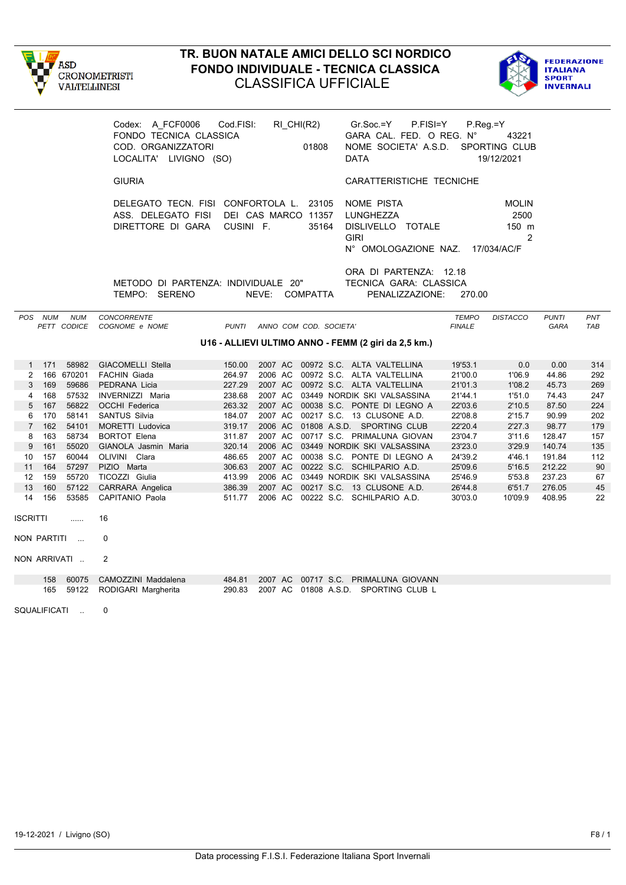



|                 |         |                           | Codex: A FCF0006<br>FONDO TECNICA CLASSICA<br>COD. ORGANIZZATORI<br>LOCALITA' LIVIGNO (SO)             | Cod.FISI:    |         | RI_CHI(R2)<br>01808    | $Gr.Soc = Y$<br>P.FISI=Y<br>GARA CAL. FED. O REG. N°<br>NOME SOCIETA' A.S.D.<br><b>DATA</b> | $P_{\cdot}$ Reg $=$ Y         | 43221<br>SPORTING CLUB<br>19/12/2021              |                      |            |
|-----------------|---------|---------------------------|--------------------------------------------------------------------------------------------------------|--------------|---------|------------------------|---------------------------------------------------------------------------------------------|-------------------------------|---------------------------------------------------|----------------------|------------|
|                 |         |                           | <b>GIURIA</b>                                                                                          |              |         |                        | CARATTERISTICHE TECNICHE                                                                    |                               |                                                   |                      |            |
|                 |         |                           | DELEGATO TECN. FISI CONFORTOLA L. 23105<br>ASS. DELEGATO FISI DEI CAS MARCO 11357<br>DIRETTORE DI GARA | CUSINI F.    |         | 35164                  | NOME PISTA<br>LUNGHEZZA<br>DISLIVELLO TOTALE<br><b>GIRI</b><br>N° OMOLOGAZIONE NAZ.         |                               | <b>MOLIN</b><br>2500<br>150 m<br>2<br>17/034/AC/F |                      |            |
|                 |         |                           | METODO DI PARTENZA: INDIVIDUALE 20"<br>TEMPO: SERENO                                                   |              |         | NEVE: COMPATTA         | ORA DI PARTENZA: 12.18<br>TECNICA GARA: CLASSICA<br>PENALIZZAZIONE:                         | 270.00                        |                                                   |                      |            |
|                 | POS NUM | <b>NUM</b><br>PETT CODICE | CONCORRENTE<br>COGNOME e NOME                                                                          | <b>PUNTI</b> |         | ANNO COM COD. SOCIETA' |                                                                                             | <b>TEMPO</b><br><b>FINALE</b> | <b>DISTACCO</b>                                   | <b>PUNTI</b><br>GARA | PNT<br>TAB |
|                 |         |                           |                                                                                                        |              |         |                        | U16 - ALLIEVI ULTIMO ANNO - FEMM (2 giri da 2,5 km.)                                        |                               |                                                   |                      |            |
| 1               | 171     | 58982                     | <b>GIACOMELLI Stella</b>                                                                               | 150.00       | 2007 AC |                        | 00972 S.C. ALTA VALTELLINA                                                                  | 19'53.1                       | 0.0                                               | 0.00                 | 314        |
| $\overline{2}$  |         | 166 670201                | <b>FACHIN Giada</b>                                                                                    | 264.97       |         |                        | 2006 AC 00972 S.C. ALTA VALTELLINA                                                          | 21'00.0                       | 1'06.9                                            | 44.86                | 292        |
| 3               | 169     | 59686                     | PEDRANA Licia                                                                                          | 227.29       |         |                        | 2007 AC 00972 S.C. ALTA VALTELLINA                                                          | 21'01.3                       | 1'08.2                                            | 45.73                | 269        |
| 4               | 168     | 57532                     | INVERNIZZI Maria                                                                                       | 238.68       |         |                        | 2007 AC 03449 NORDIK SKI VALSASSINA                                                         | 21'44.1                       | 1'51.0                                            | 74.43                | 247        |
| 5               | 167     | 56822                     | <b>OCCHI Federica</b>                                                                                  | 263.32       |         |                        | 2007 AC 00038 S.C. PONTE DI LEGNO A                                                         | 22'03.6                       | 2'10.5                                            | 87.50                | 224        |
| 6               | 170     | 58141                     | <b>SANTUS Silvia</b>                                                                                   | 184.07       |         |                        | 2007 AC 00217 S.C. 13 CLUSONE A.D.                                                          | 22'08.8                       | 2'15.7                                            | 90.99                | 202        |
| $\overline{7}$  | 162     | 54101                     | MORETTI Ludovica                                                                                       | 319.17       |         |                        | 2006 AC 01808 A.S.D. SPORTING CLUB                                                          | 22'20.4                       | 2'27.3                                            | 98.77                | 179        |
| 8               | 163     | 58734                     | <b>BORTOT Elena</b>                                                                                    | 311.87       |         |                        | 2007 AC 00717 S.C. PRIMALUNA GIOVAN                                                         | 23'04.7                       | 3'11.6                                            | 128.47               | 157        |
| 9               | 161     | 55020                     | GIANOLA Jasmin Maria                                                                                   | 320.14       |         |                        | 2006 AC 03449 NORDIK SKI VALSASSINA                                                         | 23'23.0                       | 3'29.9                                            | 140.74               | 135        |
| 10              | 157     | 60044                     | OLIVINI Clara                                                                                          | 486.65       |         |                        | 2007 AC 00038 S.C. PONTE DI LEGNO A                                                         | 24'39.2                       | 4'46.1                                            | 191.84               | 112        |
| 11              | 164     | 57297                     | PIZIO Marta                                                                                            | 306.63       |         |                        | 2007 AC 00222 S.C. SCHILPARIO A.D.                                                          | 25'09.6                       | 5'16.5                                            | 212.22               | 90         |
| 12              | 159     | 55720                     | TICOZZI Giulia                                                                                         | 413.99       |         |                        | 2006 AC 03449 NORDIK SKI VALSASSINA                                                         | 25'46.9                       | 5'53.8                                            | 237.23               | 67         |
| 13              | 160     | 57122                     | <b>CARRARA Angelica</b>                                                                                | 386.39       |         |                        | 2007 AC 00217 S.C. 13 CLUSONE A.D.                                                          | 26'44.8                       | 6'51.7                                            | 276.05               | 45         |
| 14              | 156     | 53585                     | <b>CAPITANIO Paola</b>                                                                                 | 511.77       |         |                        | 2006 AC 00222 S.C. SCHILPARIO A.D.                                                          | 30'03.0                       | 10'09.9                                           | 408.95               | 22         |
| <b>ISCRITTI</b> |         | .                         | 16                                                                                                     |              |         |                        |                                                                                             |                               |                                                   |                      |            |
|                 |         | NON PARTITI               | $\Omega$                                                                                               |              |         |                        |                                                                                             |                               |                                                   |                      |            |
|                 |         | NON ARRIVATI              | 2                                                                                                      |              |         |                        |                                                                                             |                               |                                                   |                      |            |
|                 | 158     | 60075                     | CAMOZZINI Maddalena                                                                                    | 484.81       |         |                        | 2007 AC 00717 S.C. PRIMALUNA GIOVANN                                                        |                               |                                                   |                      |            |
|                 | 165     | 59122                     | RODIGARI Margherita                                                                                    | 290.83       |         |                        | 2007 AC 01808 A.S.D. SPORTING CLUB L                                                        |                               |                                                   |                      |            |
| SQUALIFICATI    |         | $\ldots$                  | 0                                                                                                      |              |         |                        |                                                                                             |                               |                                                   |                      |            |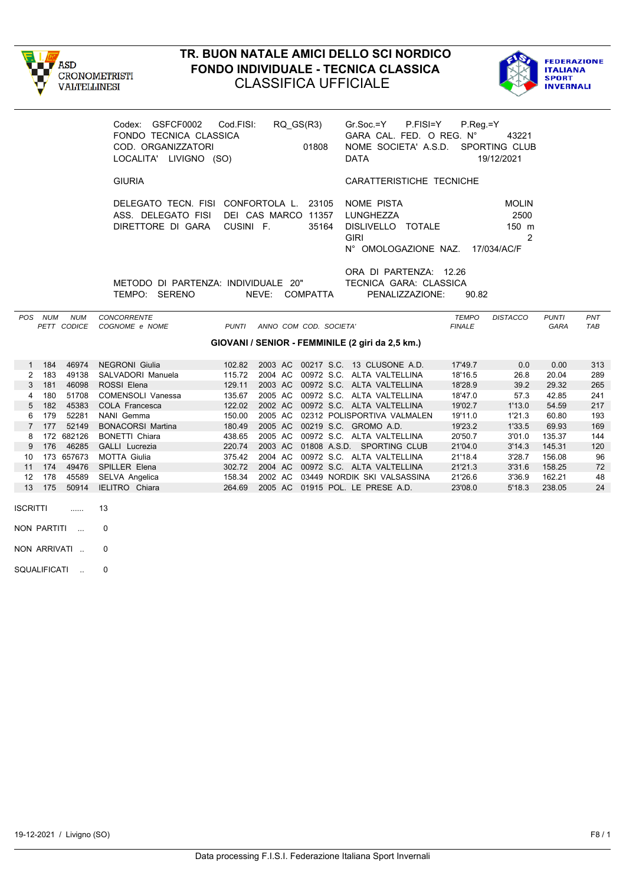



|                |         |                           | Codex: GSFCF0002 Cod.FISI:<br>FONDO TECNICA CLASSICA<br>COD. ORGANIZZATORI<br>LOCALITA' LIVIGNO (SO) |              |                                  | RQ_GS(R3)<br>01808     | $Gr.Soc = Y$ P.FISI=Y<br>GARA CAL. FED. O REG. N°<br>NOME SOCIETA' A.S.D. SPORTING CLUB<br><b>DATA</b> | $P_{\cdot}$ Req. = Y          | 43221<br>19/12/2021                               |                      |            |
|----------------|---------|---------------------------|------------------------------------------------------------------------------------------------------|--------------|----------------------------------|------------------------|--------------------------------------------------------------------------------------------------------|-------------------------------|---------------------------------------------------|----------------------|------------|
|                |         |                           | <b>GIURIA</b>                                                                                        |              |                                  |                        | CARATTERISTICHE TECNICHE                                                                               |                               |                                                   |                      |            |
|                |         |                           | DELEGATO TECN. FISI CONFORTOLA L. 23105<br>ASS. DELEGATO FISI<br>DIRETTORE DI GARA                   |              | DEI CAS MARCO 11357<br>CUSINI F. | 35164                  | NOME PISTA<br>LUNGHEZZA<br>DISLIVELLO TOTALE<br><b>GIRI</b><br>N° OMOLOGAZIONE NAZ. 17/034/AC/F        |                               | <b>MOLIN</b><br>2500<br>$150$ m<br>$\overline{2}$ |                      |            |
|                |         |                           | METODO DI PARTENZA: INDIVIDUALE 20"<br>TEMPO: SERENO                                                 |              |                                  | NEVE: COMPATTA         | ORA DI PARTENZA: 12.26<br>TECNICA GARA: CLASSICA<br>PENALIZZAZIONE:                                    | 90.82                         |                                                   |                      |            |
|                | POS NUM | <b>NUM</b><br>PETT CODICE | CONCORRENTE<br>COGNOME e NOME                                                                        | <b>PUNTI</b> |                                  | ANNO COM COD. SOCIETA' |                                                                                                        | <b>TEMPO</b><br><b>FINALE</b> | <b>DISTACCO</b>                                   | <b>PUNTI</b><br>GARA | PNT<br>TAB |
|                |         |                           |                                                                                                      |              |                                  |                        | GIOVANI / SENIOR - FEMMINILE (2 giri da 2,5 km.)                                                       |                               |                                                   |                      |            |
| $\mathbf{1}$   | 184     | 46974                     | <b>NEGRONI</b> Giulia                                                                                | 102.82       |                                  |                        | 2003 AC 00217 S.C. 13 CLUSONE A.D.                                                                     | 17'49.7                       | 0.0                                               | 0.00                 | 313        |
| 2              | 183     | 49138                     | SALVADORI Manuela                                                                                    | 115.72       |                                  |                        | 2004 AC 00972 S.C. ALTA VALTELLINA                                                                     | 18'16.5                       | 26.8                                              | 20.04                | 289        |
| 3              | 181     | 46098                     | ROSSI Elena                                                                                          | 129.11       | 2003 AC                          |                        | 00972 S.C. ALTA VALTELLINA                                                                             | 18'28.9                       | 39.2                                              | 29.32                | 265        |
| 4              | 180     | 51708                     | COMENSOLI Vanessa                                                                                    | 135.67       | 2005 AC                          |                        | 00972 S.C. ALTA VALTELLINA                                                                             | 18'47.0                       | 57.3                                              | 42.85                | 241        |
| 5              | 182     | 45383                     | <b>COLA Francesca</b>                                                                                | 122.02       |                                  |                        | 2002 AC 00972 S.C. ALTA VALTELLINA                                                                     | 19'02.7                       | 1'13.0                                            | 54.59                | 217        |
| 6              | 179     | 52281                     | NANI Gemma                                                                                           | 150.00       | 2005 AC                          |                        | 02312 POLISPORTIVA VALMALEN                                                                            | 19'11.0                       | 1'21.3                                            | 60.80                | 193        |
| $\overline{7}$ | 177     | 52149                     | <b>BONACORSI Martina</b>                                                                             | 180.49       | 2005 AC                          |                        | 00219 S.C. GROMO A.D.                                                                                  | 19'23.2                       | 1'33.5                                            | 69.93                | 169        |
| 8              |         | 172 682126                | <b>BONETTI Chiara</b>                                                                                | 438.65       | 2005 AC                          |                        | 00972 S.C. ALTA VALTELLINA                                                                             | 20'50.7                       | 3'01.0                                            | 135.37               | 144        |
| 9              |         | 176 46285                 | <b>GALLI</b> Lucrezia                                                                                | 220.74       |                                  |                        | 2003 AC 01808 A.S.D. SPORTING CLUB                                                                     | 21'04.0                       | 3'14.3                                            | 145.31               | 120        |

10 173 657673 MOTTA Giulia 375.42 2004 AC 00972 S.C. ALTA VALTELLINA 21'18.4 3'28.7 156.08 96

12 178 45589 SELVA Angelica 158.34 2002 AC 03449 NORDIK SKI VALSASSINA 21'26.6 3'36.9 162.21 48

00972 S.C. ALTA VALTELLINA

13 175 50914 IELITRO Chiara 264.69 2005 AC 01915 POL. LE PRESE A.D.

ISCRITTI ...... 13 NON PARTITI ... 0 NON ARRIVATI .. 0 SQUALIFICATI .. 0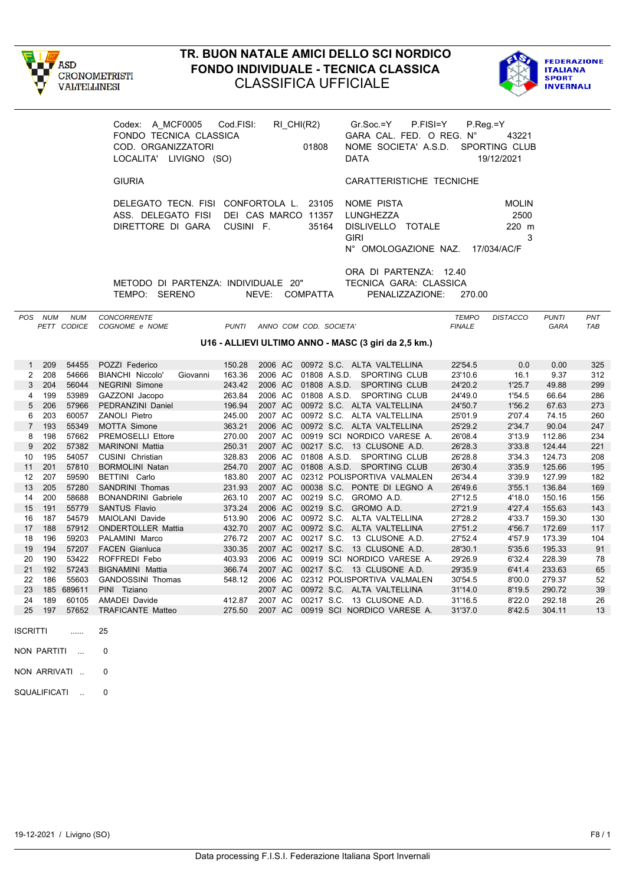



|                 |         |                           | Codex: A_MCF0005 Cod.FISI:<br>FONDO TECNICA CLASSICA<br>COD. ORGANIZZATORI<br>LOCALITA' LIVIGNO (SO) |              |                | RI_CHI(R2)<br>01808    | $Gr.Soc = Y$<br>P.FISI=Y<br>GARA CAL. FED. O REG. N°<br>NOME SOCIETA' A.S.D.<br><b>DATA</b> |                               | $P_{\cdot}$ Reg $=$ Y<br>43221<br>SPORTING CLUB<br>19/12/2021 |                      |            |
|-----------------|---------|---------------------------|------------------------------------------------------------------------------------------------------|--------------|----------------|------------------------|---------------------------------------------------------------------------------------------|-------------------------------|---------------------------------------------------------------|----------------------|------------|
|                 |         |                           | <b>GIURIA</b>                                                                                        |              |                |                        | CARATTERISTICHE TECNICHE                                                                    |                               |                                                               |                      |            |
|                 |         |                           | DELEGATO TECN. FISI CONFORTOLA L.<br>ASS. DELEGATO FISI DEI CAS MARCO 11357<br>DIRETTORE DI GARA     | CUSINI F.    |                | 23105<br>35164         | NOME PISTA<br>LUNGHEZZA<br>DISLIVELLO TOTALE<br><b>GIRI</b><br>N° OMOLOGAZIONE NAZ.         |                               | <b>MOLIN</b><br>2500<br>220 m<br>3<br>17/034/AC/F             |                      |            |
|                 |         |                           | METODO DI PARTENZA: INDIVIDUALE 20"<br>TEMPO: SERENO                                                 |              | NEVE: COMPATTA |                        | ORA DI PARTENZA: 12.40<br>TECNICA GARA: CLASSICA<br>PENALIZZAZIONE:                         | 270.00                        |                                                               |                      |            |
|                 | POS NUM | <b>NUM</b><br>PETT CODICE | <b>CONCORRENTE</b><br>COGNOME e NOME                                                                 | <b>PUNTI</b> |                | ANNO COM COD. SOCIETA' |                                                                                             | <b>TEMPO</b><br><b>FINALE</b> | <b>DISTACCO</b>                                               | <b>PUNTI</b><br>GARA | PNT<br>TAB |
|                 |         |                           |                                                                                                      |              |                |                        | U16 - ALLIEVI ULTIMO ANNO - MASC (3 giri da 2,5 km.)                                        |                               |                                                               |                      |            |
| 1               | 209     | 54455                     | POZZI Federico                                                                                       | 150.28       |                |                        | 2006 AC 00972 S.C. ALTA VALTELLINA                                                          | 22'54.5                       | 0.0                                                           | 0.00                 | 325        |
| $\overline{2}$  | 208     | 54666                     | <b>BIANCHI Niccolo'</b><br>Giovanni                                                                  | 163.36       |                |                        | 2006 AC 01808 A.S.D. SPORTING CLUB                                                          | 23'10.6                       | 16.1                                                          | 9.37                 | 312        |
| $\mathbf{3}$    | 204     | 56044                     | NEGRINI Simone                                                                                       | 243.42       |                |                        | 2006 AC 01808 A.S.D. SPORTING CLUB                                                          | 24'20.2                       | 1'25.7                                                        | 49.88                | 299        |
| $\overline{4}$  | 199     | 53989                     | GAZZONI Jacopo                                                                                       | 263.84       |                |                        | 2006 AC 01808 A.S.D. SPORTING CLUB                                                          | 24'49.0                       | 1'54.5                                                        | 66.64                | 286        |
| 5               | 206     | 57966                     | PEDRANZINI Daniel                                                                                    | 196.94       |                |                        | 2007 AC 00972 S.C. ALTA VALTELLINA                                                          | 24'50.7                       | 1'56.2                                                        | 67.63                | 273        |
| 6               | 203     | 60057                     | ZANOLI Pietro                                                                                        | 245.00       |                |                        | 2007 AC 00972 S.C. ALTA VALTELLINA                                                          | 25'01.9                       | 2'07.4                                                        | 74.15                | 260        |
| $\overline{7}$  | 193     | 55349                     | <b>MOTTA Simone</b>                                                                                  | 363.21       |                |                        | 2006 AC 00972 S.C. ALTA VALTELLINA                                                          | 25'29.2                       | 2'34.7                                                        | 90.04                | 247        |
| 8               | 198     | 57662                     | PREMOSELLI Ettore                                                                                    | 270.00       |                |                        | 2007 AC 00919 SCI NORDICO VARESE A.                                                         | 26'08.4                       | 3'13.9                                                        | 112.86               | 234        |
| 9               | 202     | 57382                     | <b>MARINONI Mattia</b>                                                                               | 250.31       |                |                        | 2007 AC 00217 S.C. 13 CLUSONE A.D.                                                          | 26'28.3                       | 3'33.8                                                        | 124.44               | 221        |
| 10              | 195     | 54057                     | CUSINI Christian                                                                                     | 328.83       |                |                        | 2006 AC 01808 A.S.D. SPORTING CLUB                                                          | 26'28.8                       | 3'34.3                                                        | 124.73               | 208        |
| 11              | 201     | 57810                     | <b>BORMOLINI Natan</b>                                                                               | 254.70       |                |                        | 2007 AC 01808 A.S.D. SPORTING CLUB                                                          | 26'30.4                       | 3'35.9                                                        | 125.66               | 195        |
| 12              | 207     | 59590                     | BETTINI Carlo                                                                                        | 183.80       |                |                        | 2007 AC 02312 POLISPORTIVA VALMALEN                                                         | 26'34.4                       | 3'39.9                                                        | 127.99               | 182        |
| 13              | 205     | 57280                     | SANDRINI Thomas                                                                                      | 231.93       |                |                        | 2007 AC 00038 S.C. PONTE DI LEGNO A                                                         | 26'49.6                       | 3'55.1                                                        | 136.84               | 169        |
| 14              | 200     | 58688                     | <b>BONANDRINI Gabriele</b>                                                                           | 263.10       |                |                        | 2007 AC 00219 S.C. GROMO A.D.                                                               | 27'12.5                       | 4'18.0                                                        | 150.16               | 156        |
| 15              | 191     | 55779                     | <b>SANTUS Flavio</b>                                                                                 | 373.24       |                |                        | 2006 AC 00219 S.C. GROMO A.D.                                                               | 27'21.9                       | 4'27.4                                                        | 155.63               | 143        |
| 16              | 187     | 54579                     | MAIOLANI Davide                                                                                      | 513.90       |                |                        | 2006 AC 00972 S.C. ALTA VALTELLINA                                                          | 27'28.2                       | 4'33.7                                                        | 159.30               | 130        |
| 17              | 188     | 57912                     | <b>ONDERTOLLER Mattia</b>                                                                            | 432.70       |                |                        | 2007 AC 00972 S.C. ALTA VALTELLINA                                                          | 27'51.2                       | 4'56.7                                                        | 172.69               | 117        |
| 18              | 196     | 59203                     | PALAMINI Marco                                                                                       | 276.72       |                |                        | 2007 AC 00217 S.C. 13 CLUSONE A.D.                                                          | 27'52.4                       | 4'57.9                                                        | 173.39               | 104        |
| 19              | 194     | 57207                     | <b>FACEN Gianluca</b>                                                                                | 330.35       |                |                        | 2007 AC 00217 S.C. 13 CLUSONE A.D.                                                          | 28'30.1                       | 5'35.6                                                        | 195.33               | 91         |
| 20              | 190     | 53422                     | ROFFREDI Febo                                                                                        | 403.93       |                |                        | 2006 AC 00919 SCI NORDICO VARESE A.                                                         | 29'26.9                       | 6'32.4                                                        | 228.39               | 78         |
| 21              | 192     | 57243                     | <b>BIGNAMINI Mattia</b>                                                                              | 366.74       |                |                        | 2007 AC 00217 S.C. 13 CLUSONE A.D.                                                          | 29'35.9                       | 6'41.4                                                        | 233.63               | 65         |
| 22<br>23        | 186     | 55603                     | <b>GANDOSSINI Thomas</b>                                                                             | 548.12       |                |                        | 2006 AC 02312 POLISPORTIVA VALMALEN                                                         | 30'54.5                       | 8'00.0                                                        | 279.37               | 52         |
| 24              | 189     | 185 689611<br>60105       | PINI Tiziano<br><b>AMADEI Davide</b>                                                                 | 412.87       |                |                        | 2007 AC 00972 S.C. ALTA VALTELLINA<br>2007 AC 00217 S.C. 13 CLUSONE A.D.                    | 31'14.0                       | 8'19.5<br>8'22.0                                              | 290.72<br>292.18     | 39<br>26   |
| 25              | 197     | 57652                     | TRAFICANTE Matteo                                                                                    | 275.50       |                |                        | 2007 AC 00919 SCI NORDICO VARESE A.                                                         | 31'16.5<br>31'37.0            | 8'42.5                                                        | 304.11               | 13         |
| <b>ISCRITTI</b> |         |                           | 25                                                                                                   |              |                |                        |                                                                                             |                               |                                                               |                      |            |

NON PARTITI ... 0

NON ARRIVATI .. 0

SQUALIFICATI .. 0